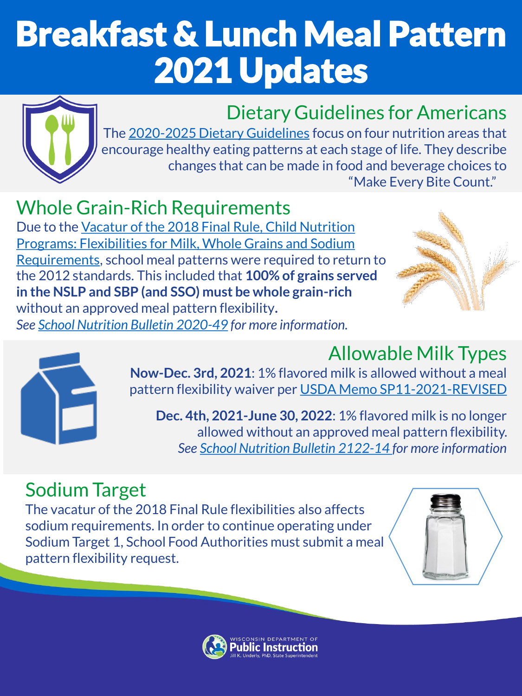# Breakfast & Lunch Meal Pattern 2021 Updates



## Dietary Guidelines for Americans

The [2020-2025 Dietary Guidelines](https://www.dietaryguidelines.gov/) focus on four nutrition areas that encourage healthy eating patterns at each stage of life. They describe changes that can be made in food and beverage choices to "Make Every Bite Count."

Whole Grain-Rich Requirements Due to the Vacatur of the 2018 Final Rule, Child Nutrition [Programs: Flexibilities for Milk, Whole Grains and Sodium](https://www.fns.usda.gov/disaster/pandemic/covid-19/questions-and-answers-child-nutrition-programs-during-sy-2020-21) Requirements, school meal patterns were required to return to the 2012 standards. This included that **100% of grains served in the NSLP and SBP (and SSO) must be whole grain-rich**  without an approved meal pattern flexibility**.** *See [School Nutrition Bulletin 2020-49](https://dpi.wi.gov/school-nutrition/school-nutrition-bulletin-2021-09) for more information.*





## Allowable Milk Types

**Now-Dec. 3rd, 2021**: 1% flavored milk is allowed without a meal pattern flexibility waiver per [USDA Memo SP11-2021-REVISED](https://www.fns.usda.gov/cn/sp11-cacfp10-sfsp06-2021)

**Dec. 4th, 2021-June 30, 2022**: 1% flavored milk is no longer allowed without an approved meal pattern flexibility. *See [School Nutrition Bulletin 2122-14 f](https://dpi.wi.gov/school-nutrition/school-nutrition-bulletin-2122-14)or more information*

### Sodium Target

The vacatur of the 2018 Final Rule flexibilities also affects sodium requirements. In order to continue operating under Sodium Target 1, School Food Authorities must submit a meal pattern flexibility request.